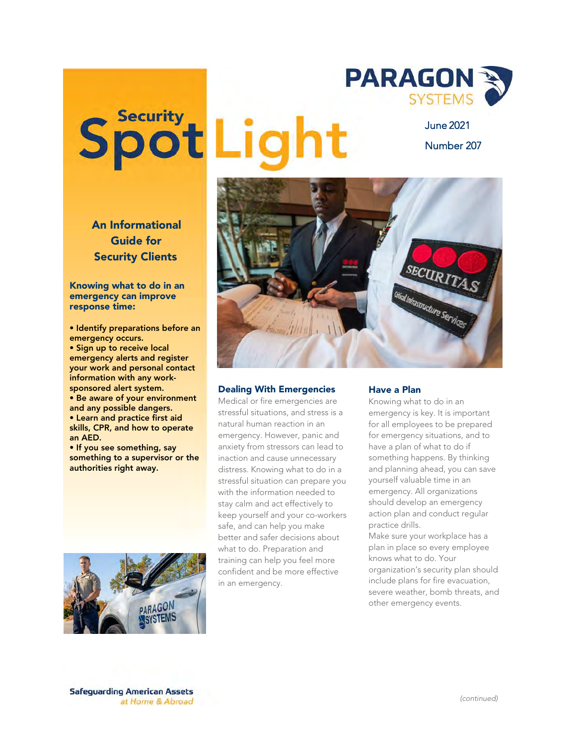## Spot Light

June 2021 Number 207

**SYSTEMS** 

**PARAGON &** 



## Dealing With Emergencies

Medical or fire emergencies are stressful situations, and stress is a natural human reaction in an emergency. However, panic and anxiety from stressors can lead to inaction and cause unnecessary distress. Knowing what to do in a stressful situation can prepare you with the information needed to stay calm and act effectively to keep yourself and your co-workers safe, and can help you make better and safer decisions about what to do. Preparation and training can help you feel more confident and be more effective in an emergency.

## Have a Plan

Knowing what to do in an emergency is key. It is important for all employees to be prepared for emergency situations, and to have a plan of what to do if something happens. By thinking and planning ahead, you can save yourself valuable time in an emergency. All organizations should develop an emergency action plan and conduct regular practice drills.

Make sure your workplace has a plan in place so every employee knows what to do. Your organization's security plan should include plans for fire evacuation, severe weather, bomb threats, and other emergency events.

## An Informational Guide for Security Clients

Knowing what to do in an emergency can improve response time:

• Identify preparations before an emergency occurs. • Sign up to receive local emergency alerts and register your work and personal contact information with any worksponsored alert system. • Be aware of your environment and any possible dangers. • Learn and practice first aid skills, CPR, and how to operate an AED.

• If you see something, say something to a supervisor or the authorities right away.



**Safeguarding American Assets** at Home & Abroad